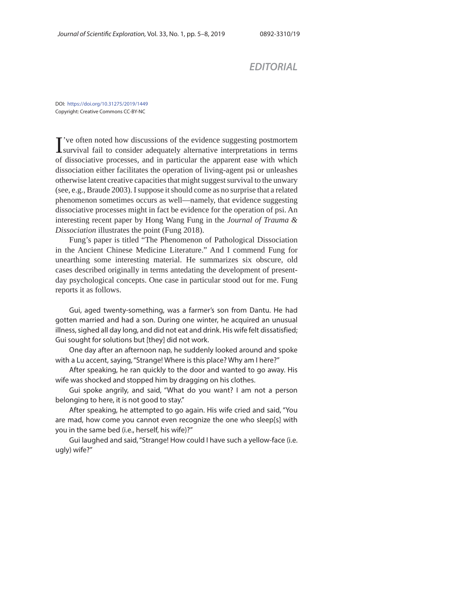## *EDITORIAL*

DOI: https://doi.org/10.31275/2019/1449 Copyright: Creative Commons CC-BY-NC

I've often noted how discussions of the evidence suggesting postmortem<br>survival fail to consider adequately alternative interpretations in terms 've often noted how discussions of the evidence suggesting postmortem of dissociative processes, and in particular the apparent ease with which dissociation either facilitates the operation of living-agent psi or unleashes otherwise latent creative capacities that might suggest survival to the unwary (see, e.g., Braude 2003). I suppose it should come as no surprise that a related phenomenon sometimes occurs as well—namely, that evidence suggesting dissociative processes might in fact be evidence for the operation of psi. An interesting recent paper by Hong Wang Fung in the *Journal of Trauma & Dissociation* illustrates the point (Fung 2018).

Fung's paper is titled "The Phenomenon of Pathological Dissociation in the Ancient Chinese Medicine Literature." And I commend Fung for unearthing some interesting material. He summarizes six obscure, old cases described originally in terms antedating the development of presentday psychological concepts. One case in particular stood out for me. Fung reports it as follows.

Gui, aged twenty-something, was a farmer's son from Dantu. He had gotten married and had a son. During one winter, he acquired an unusual illness, sighed all day long, and did not eat and drink. His wife felt dissatisfied; Gui sought for solutions but [they] did not work.

One day after an afternoon nap, he suddenly looked around and spoke with a Lu accent, saying, "Strange! Where is this place? Why am I here?"

After speaking, he ran quickly to the door and wanted to go away. His wife was shocked and stopped him by dragging on his clothes.

Gui spoke angrily, and said, "What do you want? I am not a person belonging to here, it is not good to stay."

After speaking, he attempted to go again. His wife cried and said, "You are mad, how come you cannot even recognize the one who sleep[s] with you in the same bed (i.e., herself, his wife)?"

Gui laughed and said, "Strange! How could I have such a yellow-face (i.e. ugly) wife?"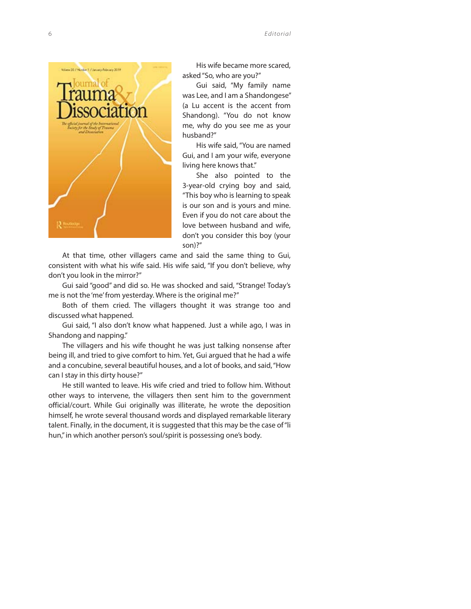6 *Editorial*



His wife became more scared, asked "So, who are you?"

Gui said, "My family name was Lee, and I am a Shandongese" (a Lu accent is the accent from Shandong). "You do not know me, why do you see me as your husband?"

His wife said, "You are named Gui, and I am your wife, everyone living here knows that."

She also pointed to the 3-year-old crying boy and said, "This boy who is learning to speak is our son and is yours and mine. Even if you do not care about the love between husband and wife, don't you consider this boy (your son)?"

At that time, other villagers came and said the same thing to Gui, consistent with what his wife said. His wife said, "If you don't believe, why don't you look in the mirror?"

Gui said "good" and did so. He was shocked and said, "Strange! Today's me is not the 'me' from yesterday. Where is the original me?"

Both of them cried. The villagers thought it was strange too and discussed what happened.

Gui said, "I also don't know what happened. Just a while ago, I was in Shandong and napping."

The villagers and his wife thought he was just talking nonsense after being ill, and tried to give comfort to him. Yet, Gui argued that he had a wife and a concubine, several beautiful houses, and a lot of books, and said, "How can I stay in this dirty house?"

He still wanted to leave. His wife cried and tried to follow him. Without other ways to intervene, the villagers then sent him to the government official/court. While Gui originally was illiterate, he wrote the deposition himself, he wrote several thousand words and displayed remarkable literary talent. Finally, in the document, it is suggested that this may be the case of "li hun," in which another person's soul/spirit is possessing one's body.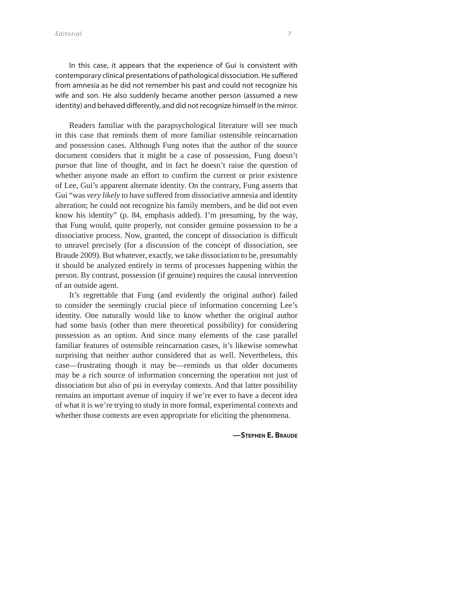In this case, it appears that the experience of Gui is consistent with contemporary clinical presentations of pathological dissociation. He suffered from amnesia as he did not remember his past and could not recognize his wife and son. He also suddenly became another person (assumed a new identity) and behaved differently, and did not recognize himself in the mirror.

Readers familiar with the parapsychological literature will see much in this case that reminds them of more familiar ostensible reincarnation and possession cases. Although Fung notes that the author of the source document considers that it might be a case of possession, Fung doesn't pursue that line of thought, and in fact he doesn't raise the question of whether anyone made an effort to confirm the current or prior existence of Lee, Gui's apparent alternate identity. On the contrary, Fung asserts that Gui "was *very likely* to have suffered from dissociative amnesia and identity alteration; he could not recognize his family members, and he did not even know his identity" (p. 84, emphasis added). I'm presuming, by the way, that Fung would, quite properly, not consider genuine possession to be a dissociative process. Now, granted, the concept of dissociation is difficult to unravel precisely (for a discussion of the concept of dissociation, see Braude 2009). But whatever, exactly, we take dissociation to be, presumably it should be analyzed entirely in terms of processes happening within the person. By contrast, possession (if genuine) requires the causal intervention of an outside agent.

It's regrettable that Fung (and evidently the original author) failed to consider the seemingly crucial piece of information concerning Lee's identity. One naturally would like to know whether the original author had some basis (other than mere theoretical possibility) for considering possession as an option. And since many elements of the case parallel familiar features of ostensible reincarnation cases, it's likewise somewhat surprising that neither author considered that as well. Nevertheless, this case—frustrating though it may be—reminds us that older documents may be a rich source of information concerning the operation not just of dissociation but also of psi in everyday contexts. And that latter possibility remains an important avenue of inquiry if we're ever to have a decent idea of what it is we're trying to study in more formal, experimental contexts and whether those contexts are even appropriate for eliciting the phenomena.

**—STEPHEN E. BRAUDE**